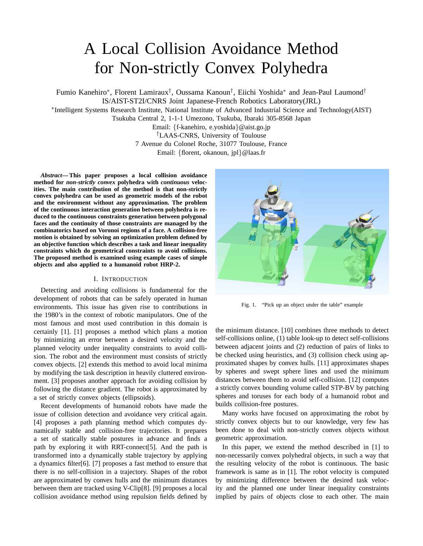# A Local Collision Avoidance Method for Non-strictly Convex Polyhedra

Fumio Kanehiro\*, Florent Lamiraux<sup>†</sup>, Oussama Kanoun<sup>†</sup>, Eiichi Yoshida\* and Jean-Paul Laumond<sup>†</sup> IS/AIST-ST2I/CNRS Joint Japanese-French Robotics Laboratory(JRL)

∗ Intelligent Systems Research Institute, National Institute of Advanced Industrial Science and Technology(AIST)

Tsukuba Central 2, 1-1-1 Umezono, Tsukuba, Ibaraki 305-8568 Japan

Email: {f-kanehiro, e.yoshida}@aist.go.jp

†LAAS-CNRS, University of Toulouse

7 Avenue du Colonel Roche, 31077 Toulouse, France

Email: {florent, okanoun, jpl}@laas.fr

*Abstract***— This paper proposes a local collision avoidance method for** *non-strictly convex* **polyhedra with** *continuous* **velocities. The main contribution of the method is that non-strictly convex polyhedra can be used as geometric models of the robot and the environment without any approximation. The problem of the continuous interaction generation between polyhedra is reduced to the continuous constraints generation between polygonal faces and the continuity of those constraints are managed by the combinatorics based on Voronoi regions of a face. A collision-free motion is obtained by solving an optimization problem defined by an objective function which describes a task and linear inequality constraints which do geometrical constraints to avoid collisions. The proposed method is examined using example cases of simple objects and also applied to a humanoid robot HRP-2.**

## I. INTRODUCTION

Detecting and avoiding collisions is fundamental for the development of robots that can be safely operated in human environments. This issue has given rise to contributions in the 1980's in the context of robotic manipulators. One of the most famous and most used contribution in this domain is certainly [1]. [1] proposes a method which plans a motion by minimizing an error between a desired velocity and the planned velocity under inequality constraints to avoid collision. The robot and the environment must consists of strictly convex objects. [2] extends this method to avoid local minima by modifying the task description in heavily cluttered environment. [3] proposes another approach for avoiding collision by following the distance gradient. The robot is approximated by a set of strictly convex objects (ellipsoids).

Recent developments of humanoid robots have made the issue of collision detection and avoidance very critical again. [4] proposes a path planning method which computes dynamically stable and collision-free trajectories. It prepares a set of statically stable postures in advance and finds a path by exploring it with RRT-connect[5]. And the path is transformed into a dynamically stable trajectory by applying a dynamics filter[6]. [7] proposes a fast method to ensure that there is no self-collision in a trajectory. Shapes of the robot are approximated by convex hulls and the minimum distances between them are tracked using V-Clip[8]. [9] proposes a local collision avoidance method using repulsion fields defined by



Fig. 1. "Pick up an object under the table" example

the minimum distance. [10] combines three methods to detect self-collisions online, (1) table look-up to detect self-collisions between adjacent joints and (2) reduction of pairs of links to be checked using heuristics, and (3) collision check using approximated shapes by convex hulls. [11] approximates shapes by spheres and swept sphere lines and used the minimum distances between them to avoid self-collision. [12] computes a strictly convex bounding volume called STP-BV by patching spheres and toruses for each body of a humanoid robot and builds collision-free postures.

Many works have focused on approximating the robot by strictly convex objects but to our knowledge, very few has been done to deal with non-strictly convex objects without geometric approximation.

In this paper, we extend the method described in [1] to non-necessarily convex polyhedral objects, in such a way that the resulting velocity of the robot is continuous. The basic framework is same as in [1]. The robot velocity is computed by minimizing difference between the desired task velocity and the planned one under linear inequality constraints implied by pairs of objects close to each other. The main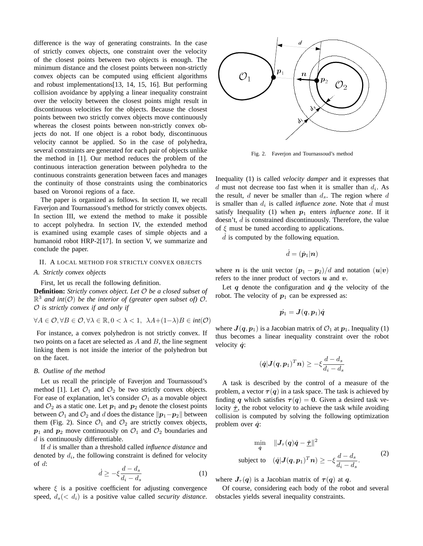difference is the way of generating constraints. In the case of strictly convex objects, one constraint over the velocity of the closest points between two objects is enough. The minimum distance and the closest points between non-strictly convex objects can be computed using efficient algorithms and robust implementations[13, 14, 15, 16]. But performing collision avoidance by applying a linear inequality constraint over the velocity between the closest points might result in discontinuous velocities for the objects. Because the closest points between two strictly convex objects move continuously whereas the closest points between non-strictly convex objects do not. If one object is a robot body, discontinuous velocity cannot be applied. So in the case of polyhedra, several constraints are generated for each pair of objects unlike the method in [1]. Our method reduces the problem of the continuous interaction generation between polyhedra to the continuous constraints generation between faces and manages the continuity of those constraints using the combinatorics based on Voronoi regions of a face.

The paper is organized as follows. In section II, we recall Faverjon and Tournassoud's method for strictly convex objects. In section III, we extend the method to make it possible to accept polyhedra. In section IV, the extended method is examined using example cases of simple objects and a humanoid robot HRP-2[17]. In section V, we summarize and conclude the paper.

## II. A LOCAL METHOD FOR STRICTLY CONVEX OBJECTS

# *A. Strictly convex objects*

## First, let us recall the following definition.

**Definition:** *Strictly convex object. Let* O *be a closed subset of*  $\mathbb{R}^3$  and int $(\mathcal{O})$  be the interior of (greater open subset of)  $\mathcal{O}$ . O *is strictly convex if and only if*

$$
\forall A \in \mathcal{O}, \forall B \in \mathcal{O}, \forall \lambda \in \mathbb{R}, 0 < \lambda < 1, \ \lambda A + (1 - \lambda)B \in \text{int}(\mathcal{O})
$$

For instance, a convex polyhedron is not strictly convex. If two points on a facet are selected as  $A$  and  $B$ , the line segment linking them is not inside the interior of the polyhedron but on the facet.

## *B. Outline of the method*

Let us recall the principle of Faverjon and Tournassoud's method [1]. Let  $\mathcal{O}_1$  and  $\mathcal{O}_2$  be two strictly convex objects. For ease of explanation, let's consider  $\mathcal{O}_1$  as a movable object and  $\mathcal{O}_2$  as a static one. Let  $p_1$  and  $p_2$  denote the closest points between  $\mathcal{O}_1$  and  $\mathcal{O}_2$  and d does the distance  $\|\boldsymbol{p}_1-\boldsymbol{p}_2\|$  between them (Fig. 2). Since  $\mathcal{O}_1$  and  $\mathcal{O}_2$  are strictly convex objects,  $p_1$  and  $p_2$  move continuously on  $\mathcal{O}_1$  and  $\mathcal{O}_2$  boundaries and  $d$  is continuously differentiable.

If d is smaller than a threshold called *influence distance* and denoted by  $d_i$ , the following constraint is defined for velocity of  $d$ :

$$
\dot{d} \ge -\xi \frac{d - d_s}{d_i - d_s} \tag{1}
$$

where  $\xi$  is a positive coefficient for adjusting convergence speed,  $d_s$  (<  $d_i$ ) is a positive value called *security distance*.



Fig. 2. Faverjon and Tournassoud's method

Inequality (1) is called *velocity damper* and it expresses that  $d$  must not decrease too fast when it is smaller than  $d_i$ . As the result, d never be smaller than  $d_s$ . The region where d is smaller than  $d_i$  is called *influence zone*. Note that  $\dot{d}$  must satisfy Inequality (1) when  $p_1$  enters *influence zone*. If it doesn't,  $d$  is constrained discontinuously. Therefore, the value of  $\xi$  must be tuned according to applications.

 $d$  is computed by the following equation.

$$
\dot{d} = (\dot{\boldsymbol{p}}_1 | \boldsymbol{n})
$$

where *n* is the unit vector  $(p_1 - p_2)/d$  and notation  $(u|v)$ refers to the inner product of vectors  $u$  and  $v$ .

Let  $q$  denote the configuration and  $\dot{q}$  the velocity of the robot. The velocity of  $p_1$  can be expressed as:

$$
\dot{\boldsymbol{p}_1} = \boldsymbol{J}(\boldsymbol{q}, \boldsymbol{p}_1) \dot{\boldsymbol{q}}
$$

where  $J(q, p_1)$  is a Jacobian matrix of  $\mathcal{O}_1$  at  $p_1$ . Inequality (1) thus becomes a linear inequality constraint over the robot velocity  $\dot{q}$ :

$$
(\dot{\boldsymbol{q}}|\boldsymbol{J}(\boldsymbol{q},\boldsymbol{p}_1)^T\boldsymbol{n})\geq -\xi\frac{d-d_s}{d_i-d_s}
$$

A task is described by the control of a measure of the problem, a vector  $\tau(q)$  in a task space. The task is achieved by finding q which satisfies  $\tau(q) = 0$ . Given a desired task velocity  $\dot{\tau}$ , the robot velocity to achieve the task while avoiding collision is computed by solving the following optimization problem over  $\dot{q}$ :

$$
\min_{\dot{q}} \quad \|\mathbf{J}_{\tau}(q)\dot{q} - \dot{\underline{\tau}}\|^2
$$
\n
$$
\text{subject to} \quad (\dot{q}|\mathbf{J}(q, p_1)^T n) \ge -\xi \frac{d - d_s}{d_i - d_s}.\tag{2}
$$

where  $J_{\tau}(q)$  is a Jacobian matrix of  $\tau(q)$  at q.

Of course, considering each body of the robot and several obstacles yields several inequality constraints.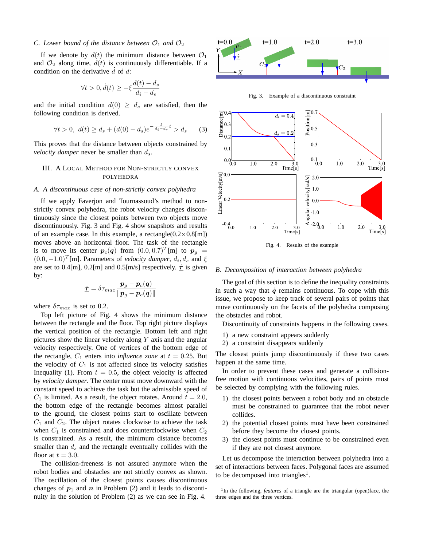## *C. Lower bound of the distance between*  $\mathcal{O}_1$  *and*  $\mathcal{O}_2$

If we denote by  $d(t)$  the minimum distance between  $\mathcal{O}_1$ and  $\mathcal{O}_2$  along time,  $d(t)$  is continuously differentiable. If a condition on the derivative  $\vec{d}$  of  $\vec{d}$ :

$$
\forall t > 0, \dot{d}(t) \ge -\xi \frac{d(t) - d_s}{d_i - d_s}
$$

and the initial condition  $d(0) \geq d_s$  are satisfied, then the following condition is derived.

$$
\forall t > 0, \ d(t) \ge d_s + (d(0) - d_s)e^{-\frac{\xi}{d_t - d_s}t} > d_s \qquad (3)
$$

This proves that the distance between objects constrained by *velocity damper* never be smaller than  $d_s$ .

# III. A LOCAL METHOD FOR NON-STRICTLY CONVEX POLYHEDRA

# *A. A discontinuous case of non-strictly convex polyhedra*

If we apply Faverjon and Tournassoud's method to nonstrictly convex polyhedra, the robot velocity changes discontinuously since the closest points between two objects move discontinuously. Fig. 3 and Fig. 4 show snapshots and results of an example case. In this example, a rectangle( $0.2 \times 0.8$ [m]) moves above an horizontal floor. The task of the rectangle is to move its center  $p_c(q)$  from  $(0.0, 0.7)^T[m]$  to  $p_g$  =  $(0.0, -1.0)^T$ [m]. Parameters of *velocity damper*,  $d_i, d_s$  and  $\xi$ are set to 0.4[m], 0.2[m] and 0.5[m/s] respectively.  $\dot{\tau}$  is given by:

$$
\dot{\underline{\tau}} = \delta \tau_{max} \frac{\bm{p}_g - \bm{p}_c(\bm{q})}{\|\bm{p}_g - \bm{p}_c(\bm{q})\|}
$$

where  $\delta \tau_{max}$  is set to 0.2.

Top left picture of Fig. 4 shows the minimum distance between the rectangle and the floor. Top right picture displays the vertical position of the rectangle. Bottom left and right pictures show the linear velocity along  $Y$  axis and the angular velocity respectively. One of vertices of the bottom edge of the rectangle,  $C_1$  enters into *influence zone* at  $t = 0.25$ . But the velocity of  $C_1$  is not affected since its velocity satisfies Inequality (1). From  $t = 0.5$ , the object velocity is affected by *velocity damper*. The center must move downward with the constant speed to achieve the task but the admissible speed of  $C_1$  is limited. As a result, the object rotates. Around  $t = 2.0$ , the bottom edge of the rectangle becomes almost parallel to the ground, the closest points start to oscillate between  $C_1$  and  $C_2$ . The object rotates clockwise to achieve the task when  $C_1$  is constrained and does counterclockwise when  $C_2$ is constrained. As a result, the minimum distance becomes smaller than  $d_s$  and the rectangle eventually collides with the floor at  $t = 3.0$ .

The collision-freeness is not assured anymore when the robot bodies and obstacles are not strictly convex as shown. The oscillation of the closest points causes discontinuous changes of  $p_1$  and n in Problem (2) and it leads to discontinuity in the solution of Problem (2) as we can see in Fig. 4.



Fig. 3. Example of a discontinuous constraint



Fig. 4. Results of the example

## *B. Decomposition of interaction between polyhedra*

The goal of this section is to define the inequality constraints in such a way that  $\dot{q}$  remains continuous. To cope with this issue, we propose to keep track of several pairs of points that move continuously on the facets of the polyhedra composing the obstacles and robot.

Discontinuity of constraints happens in the following cases.

- 1) a new constraint appears suddenly
- 2) a constraint disappears suddenly

The closest points jump discontinuously if these two cases happen at the same time.

In order to prevent these cases and generate a collisionfree motion with continuous velocities, pairs of points must be selected by complying with the following rules.

- 1) the closest points between a robot body and an obstacle must be constrained to guarantee that the robot never collides.
- 2) the potential closest points must have been constrained before they become the closest points.
- 3) the closest points must continue to be constrained even if they are not closest anymore.

Let us decompose the interaction between polyhedra into a set of interactions between faces. Polygonal faces are assumed to be decomposed into triangles<sup>1</sup>.

<sup>1</sup>In the following, *features* of a triangle are the triangular (open)face, the three edges and the three vertices.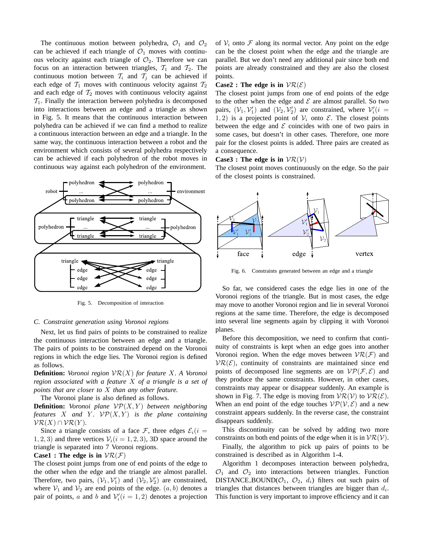The continuous motion between polyhedra,  $\mathcal{O}_1$  and  $\mathcal{O}_2$ can be achieved if each triangle of  $\mathcal{O}_1$  moves with continuous velocity against each triangle of  $\mathcal{O}_2$ . Therefore we can focus on an interaction between triangles,  $T_1$  and  $T_2$ . The continuous motion between  $\mathcal{T}_i$  and  $\mathcal{T}_j$  can be achieved if each edge of  $\mathcal{T}_1$  moves with continuous velocity against  $\mathcal{T}_2$ and each edge of  $\mathcal{T}_2$  moves with continuous velocity against  $\mathcal{T}_1$ . Finally the interaction between polyhedra is decomposed into interactions between an edge and a triangle as shown in Fig. 5. It means that the continuous interaction between polyhedra can be achieved if we can find a method to realize a continuous interaction between an edge and a triangle. In the same way, the continuous interaction between a robot and the environment which consists of several polyhedra respectively can be achieved if each polyhedron of the robot moves in continuous way against each polyhedron of the environment.



Fig. 5. Decomposition of interaction

## *C. Constraint generation using Voronoi regions*

Next, let us find pairs of points to be constrained to realize the continuous interaction between an edge and a triangle. The pairs of points to be constrained depend on the Voronoi regions in which the edge lies. The Voronoi region is defined as follows.

**Definition:** *Voronoi region* VR(X) *for feature* X*. A Voronoi region associated with a feature* X *of a triangle is a set of points that are closer to* X *than any other feature.*

The Voronoi plane is also defined as follows.

**Definition:** *Voronoi plane*  $VP(X, Y)$  *between neighboring features* X and Y.  $VP(X, Y)$  *is the plane containing*  $\mathcal{VR}(X) \cap \mathcal{VR}(Y)$ .

Since a triangle consists of a face F, three edges  $\mathcal{E}_i(i =$ 1, 2, 3) and three vertices  $V_i(i = 1, 2, 3)$ , 3D space around the triangle is separated into 7 Voronoi regions.

# **Case1 : The edge is in**  $VR(F)$

The closest point jumps from one of end points of the edge to the other when the edge and the triangle are almost parallel. Therefore, two pairs,  $(V_1, V_1')$  and  $(V_2, V_2')$  are constrained, where  $V_1$  and  $V_2$  are end points of the edge.  $(a, b)$  denotes a pair of points, a and b and  $\mathcal{V}'_i(i=1,2)$  denotes a projection of  $V_i$  onto F along its normal vector. Any point on the edge can be the closest point when the edge and the triangle are parallel. But we don't need any additional pair since both end points are already constrained and they are also the closest points.

## **Case2 : The edge is in**  $VR(E)$

The closest point jumps from one of end points of the edge to the other when the edge and  $\mathcal E$  are almost parallel. So two pairs,  $(\mathcal{V}_1, \mathcal{V}'_1)$  and  $(\mathcal{V}_2, \mathcal{V}'_2)$  are constrained, where  $\mathcal{V}'_i(i =$ 1, 2) is a projected point of  $V_i$  onto  $\mathcal{E}$ . The closest points between the edge and  $\mathcal E$  coincides with one of two pairs in some cases, but doesn't in other cases. Therefore, one more pair for the closest points is added. Three pairs are created as a consequence.

# **Case3** : The edge is in  $VR(V)$

The closest point moves continuously on the edge. So the pair of the closest points is constrained.



Fig. 6. Constraints generated between an edge and a triangle

So far, we considered cases the edge lies in one of the Voronoi regions of the triangle. But in most cases, the edge may move to another Voronoi region and lie in several Voronoi regions at the same time. Therefore, the edge is decomposed into several line segments again by clipping it with Voronoi planes.

Before this decomposition, we need to confirm that continuity of constraints is kept when an edge goes into another Voronoi region. When the edge moves between  $\mathcal{VR}(\mathcal{F})$  and  $VR(E)$ , continuity of constraints are maintained since end points of decomposed line segments are on  $\mathcal{VP}(\mathcal{F}, \mathcal{E})$  and they produce the same constraints. However, in other cases, constraints may appear or disappear suddenly. An example is shown in Fig. 7. The edge is moving from  $VR(V)$  to  $VR(E)$ . When an end point of the edge touches  $VP(V, E)$  and a new constraint appears suddenly. In the reverse case, the constraint disappears suddenly.

This discontinuity can be solved by adding two more constraints on both end points of the edge when it is in  $VR(V)$ .

Finally, the algorithm to pick up pairs of points to be constrained is described as in Algorithm 1-4.

Algorithm 1 decomposes interaction between polyhedra,  $\mathcal{O}_1$  and  $\mathcal{O}_2$  into interactions between triangles. Function DISTANCE\_BOUND( $\mathcal{O}_1$ ,  $\mathcal{O}_2$ ,  $d_i$ ) filters out such pairs of triangles that distances between triangles are bigger than  $d_i$ . This function is very important to improve efficiency and it can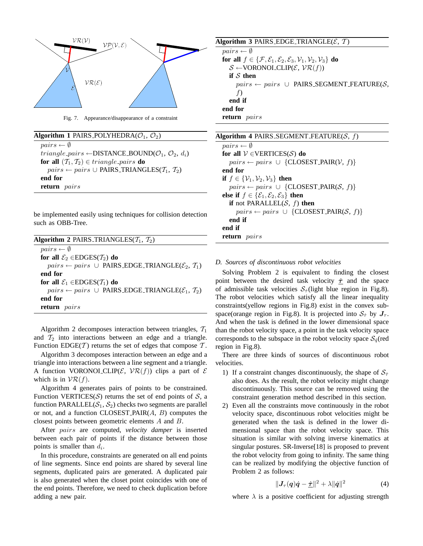

Fig. 7. Appearance/disappearance of a constraint

| Algorithm 1 PAIRS_POLYHEDRA( $\mathcal{O}_1$ , $\mathcal{O}_2$ )                               |
|------------------------------------------------------------------------------------------------|
| $pairs \leftarrow \emptyset$                                                                   |
| <i>triangle_pairs</i> $\leftarrow$ DISTANCE_BOUND( $\mathcal{O}_1$ , $\mathcal{O}_2$ , $d_i$ ) |
| for all $(\mathcal{T}_1, \mathcal{T}_2) \in triangle\_pairs$ do                                |
| $pairs \leftarrow pairs \cup PAIRS\_TRIANGLES(\mathcal{T}_1, \mathcal{T}_2)$                   |
| end for                                                                                        |
| return pairs                                                                                   |

be implemented easily using techniques for collision detection such as OBB-Tree.

Algorithm 2 decomposes interaction between triangles,  $T_1$ and  $T_2$  into interactions between an edge and a triangle. Function EDGE(T) returns the set of edges that compose  $T$ .

Algorithm 3 decomposes interaction between an edge and a triangle into interactions between a line segment and a triangle. A function VORONOI CLIP( $\mathcal{E}$ ,  $\mathcal{VR}(f)$ ) clips a part of  $\mathcal E$ which is in  $\mathcal{VR}(f)$ .

Algorithm 4 generates pairs of points to be constrained. Function VERTICES(S) returns the set of end points of S, a function PARALLEL( $S_1, S_2$ ) checks two segments are parallel or not, and a function CLOSEST PAIR $(A, B)$  computes the closest points between geometric elements A and B.

After pairs are computed, *velocity damper* is inserted between each pair of points if the distance between those points is smaller than  $d_i$ .

In this procedure, constraints are generated on all end points of line segments. Since end points are shared by several line segments, duplicated pairs are generated. A duplicated pair is also generated when the closet point coincides with one of the end points. Therefore, we need to check duplication before adding a new pair.

| Algorithm 3 PAIRS_EDGE_TRIANGLE( $\mathcal{E}, \mathcal{T}$ ) |  |  |  |  |  |  |  |
|---------------------------------------------------------------|--|--|--|--|--|--|--|
|---------------------------------------------------------------|--|--|--|--|--|--|--|

 $pairs \leftarrow \emptyset$ **for all**  $f \in \{F, \mathcal{E}_1, \mathcal{E}_2, \mathcal{E}_3, \mathcal{V}_1, \mathcal{V}_2, \mathcal{V}_3\}$  **do**  $\mathcal{S} \leftarrow \text{VORONOLCLIP}(\mathcal{E}, \mathcal{VR}(f))$ **if** S **then**  $pairs \leftarrow pairs \cup$  PAIRS\_SEGMENT\_FEATURE(S, f) **end if end for return** pairs

| Algorithm 4 PAIRS_SEGMENT_FEATURE(S, f)                                |
|------------------------------------------------------------------------|
| $pairs \leftarrow \emptyset$                                           |
| for all $V \in VERTICES(S)$ do                                         |
| $pairs \leftarrow pairs \cup \{CLOSEST\_PAIR(V, f)\}$                  |
| end for                                                                |
| if $f \in \{ \mathcal{V}_1, \mathcal{V}_2, \mathcal{V}_3 \}$ then      |
| $pairs \leftarrow pairs \cup \{CLOSEST\_PAIR(S, f)\}$                  |
| else if $f \in \{ \mathcal{E}_1, \mathcal{E}_2, \mathcal{E}_3 \}$ then |
| if not PARALLEL( $S$ , $f$ ) then                                      |
| $pairs \leftarrow pairs \cup \{CLOSEST\_PAIR(S, f)\}\$                 |
| end if                                                                 |
| end if                                                                 |
| return pairs                                                           |

# *D. Sources of discontinuous robot velocities*

Solving Problem 2 is equivalent to finding the closest point between the desired task velocity  $\dot{\tau}$  and the space of admissible task velocities  $S_{\dot{x}}$ (light blue region in Fig.8). The robot velocities which satisfy all the linear inequality constraints(yellow regions in Fig.8) exist in the convex subspace(orange region in Fig.8). It is projected into  $S_t$  by  $J_{\tau}$ . And when the task is defined in the lower dimensional space than the robot velocity space, a point in the task velocity space corresponds to the subspace in the robot velocity space  $S_{\dot{a}}$  (red region in Fig.8).

There are three kinds of sources of discontinuous robot velocities.

- 1) If a constraint changes discontinuously, the shape of  $S_{\tau}$ also does. As the result, the robot velocity might change discontinuously. This source can be removed using the constraint generation method described in this section.
- 2) Even all the constraints move continuously in the robot velocity space, discontinuous robot velocities might be generated when the task is defined in the lower dimensional space than the robot velocity space. This situation is similar with solving inverse kinematics at singular postures. SR-Inverse[18] is proposed to prevent the robot velocity from going to infinity. The same thing can be realized by modifying the objective function of Problem 2 as follows:

$$
\|\boldsymbol{J}_{\tau}(\boldsymbol{q})\dot{\boldsymbol{q}}-\dot{\boldsymbol{\pm}}\|^2+\lambda\|\dot{\boldsymbol{q}}\|^2\tag{4}
$$

where  $\lambda$  is a positive coefficient for adjusting strength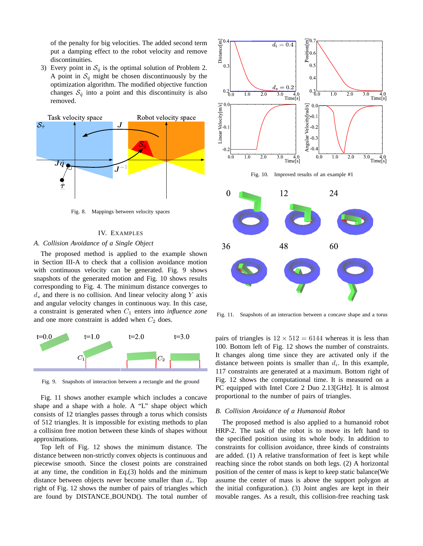of the penalty for big velocities. The added second term put a damping effect to the robot velocity and remove discontinuities.

3) Every point in  $S_{\dot{q}}$  is the optimal solution of Problem 2. A point in  $S_q$  might be chosen discontinuously by the optimization algorithm. The modified objective function changes  $S_{\dot{q}}$  into a point and this discontinuity is also removed.



Fig. 8. Mappings between velocity spaces

## IV. EXAMPLES

# *A. Collision Avoidance of a Single Object*

The proposed method is applied to the example shown in Section III-A to check that a collision avoidance motion with continuous velocity can be generated. Fig. 9 shows snapshots of the generated motion and Fig. 10 shows results corresponding to Fig. 4. The minimum distance converges to  $d_s$  and there is no collision. And linear velocity along Y axis and angular velocity changes in continuous way. In this case, a constraint is generated when  $C_1$  enters into *influence zone* and one more constraint is added when  $C_2$  does.



Fig. 9. Snapshots of interaction between a rectangle and the ground

Fig. 11 shows another example which includes a concave shape and a shape with a hole. A "L" shape object which consists of 12 triangles passes through a torus which consists of 512 triangles. It is impossible for existing methods to plan a collision free motion between these kinds of shapes without approximations.

Top left of Fig. 12 shows the minimum distance. The distance between non-strictly convex objects is continuous and piecewise smooth. Since the closest points are constrained at any time, the condition in Eq.(3) holds and the minimum distance between objects never become smaller than  $d_s$ . Top right of Fig. 12 shows the number of pairs of triangles which are found by DISTANCE BOUND(). The total number of



Fig. 10. Improved results of an example #1



Fig. 11. Snapshots of an interaction between a concave shape and a torus

pairs of triangles is  $12 \times 512 = 6144$  whereas it is less than 100. Bottom left of Fig. 12 shows the number of constraints. It changes along time since they are activated only if the distance between points is smaller than  $d_i$ . In this example, 117 constraints are generated at a maximum. Bottom right of Fig. 12 shows the computational time. It is measured on a PC equipped with Intel Core 2 Duo 2.13[GHz]. It is almost proportional to the number of pairs of triangles.

### *B. Collision Avoidance of a Humanoid Robot*

The proposed method is also applied to a humanoid robot HRP-2. The task of the robot is to move its left hand to the specified position using its whole body. In addition to constraints for collision avoidance, three kinds of constraints are added. (1) A relative transformation of feet is kept while reaching since the robot stands on both legs. (2) A horizontal position of the center of mass is kept to keep static balance(We assume the center of mass is above the support polygon at the initial configuration.). (3) Joint angles are kept in their movable ranges. As a result, this collision-free reaching task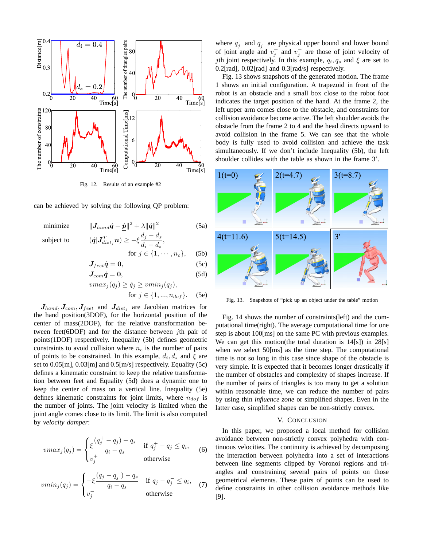

Fig. 12. Results of an example #2

can be achieved by solving the following QP problem:

minimize  $\begin{aligned} \|\boldsymbol{J}_{hand}\dot{\boldsymbol{q}}-\dot{\boldsymbol{p}}\|^2+\lambda\|\dot{\boldsymbol{q}}\|^2 \end{aligned}$ (5a)  $\langle \sigma_{dist_j}^T \bm{n} \rangle \geq -\xi \frac{d_j-d_s}{d_i-d_s}$ 

subject to

$$
a_j n \ge -\xi \frac{d_j - d_s}{d_i - d_s},
$$
  
for  $j \in \{1, \dots, n_c\},$  (5b)

$$
J_{feet}\dot{q}=0, \qquad (5c)
$$

$$
J_{com}\dot{q}=0,\t\t(5d)
$$

$$
vmax_j(q_j) \ge \dot{q}_j \ge \v{vmin_j(q_j)},
$$
  
for  $j \in \{1, ..., n_{dof}\}.$  (5e)

 $J_{hand}$ ,  $J_{com}$ ,  $J_{feet}$  and  $J_{dist_j}$  are Jacobian matrices for the hand position(3DOF), for the horizontal position of the center of mass(2DOF), for the relative transformation between feet(6DOF) and for the distance between *j*th pair of points(1DOF) respectively. Inequality (5b) defines geometric constraints to avoid collision where  $n_c$  is the number of pairs of points to be constrained. In this example,  $d_i, d_s$  and  $\xi$  are set to 0.05[m], 0.03[m] and 0.5[m/s] respectively. Equality (5c) defines a kinematic constraint to keep the relative transformation between feet and Equality (5d) does a dynamic one to keep the center of mass on a vertical line. Inequality (5e) defines kinematic constraints for joint limits, where  $n_{dof}$  is the number of joints. The joint velocity is limited when the joint angle comes close to its limit. The limit is also computed by *velocity damper*:

$$
vmax_j(q_j) = \begin{cases} \xi \frac{(q_j^+ - q_j) - q_s}{q_i - q_s} & \text{if } q_j^+ - q_j \le q_i, \\ v_j^+ & \text{otherwise} \end{cases} \tag{6}
$$

$$
vmin_j(q_j) = \begin{cases} -\xi \frac{(q_j - q_j^-) - q_s}{q_i - q_s} & \text{if } q_j - q_j^- \le q_i, \\ v_j^- & \text{otherwise} \end{cases}
$$
(7)

where  $q_j^+$  and  $q_j^$  $j$  are physical upper bound and lower bound of joint angle and  $v_j^+$  and  $v_j^ \overline{j}$  are those of joint velocity of *j*th joint respectively. In this example,  $q_i, q_s$  and  $\xi$  are set to 0.2[rad], 0.02[rad] and 0.3[rad/s] respectively.

Fig. 13 shows snapshots of the generated motion. The frame 1 shows an initial configuration. A trapezoid in front of the robot is an obstacle and a small box close to the robot foot indicates the target position of the hand. At the frame 2, the left upper arm comes close to the obstacle, and constraints for collision avoidance become active. The left shoulder avoids the obstacle from the frame 2 to 4 and the head directs upward to avoid collision in the frame 5. We can see that the whole body is fully used to avoid collision and achieve the task simultaneously. If we don't include Inequality (5b), the left shoulder collides with the table as shown in the frame 3'.



Fig. 13. Snapshots of "pick up an object under the table" motion

Fig. 14 shows the number of constraints(left) and the computational time(right). The average computational time for one step is about 100[ms] on the same PC with previous examples. We can get this motion(the total duration is 14[s]) in 28[s] when we select 50[ms] as the time step. The computational time is not so long in this case since shape of the obstacle is very simple. It is expected that it becomes longer drastically if the number of obstacles and complexity of shapes increase. If the number of pairs of triangles is too many to get a solution within reasonable time, we can reduce the number of pairs by using thin *influence zone* or simplified shapes. Even in the latter case, simplified shapes can be non-strictly convex.

## V. CONCLUSION

In this paper, we proposed a local method for collision avoidance between non-strictly convex polyhedra with continuous velocities. The continuity is achieved by decomposing the interaction between polyhedra into a set of interactions between line segments clipped by Voronoi regions and triangles and constraining several pairs of points on those geometrical elements. These pairs of points can be used to define constraints in other collision avoidance methods like [9].